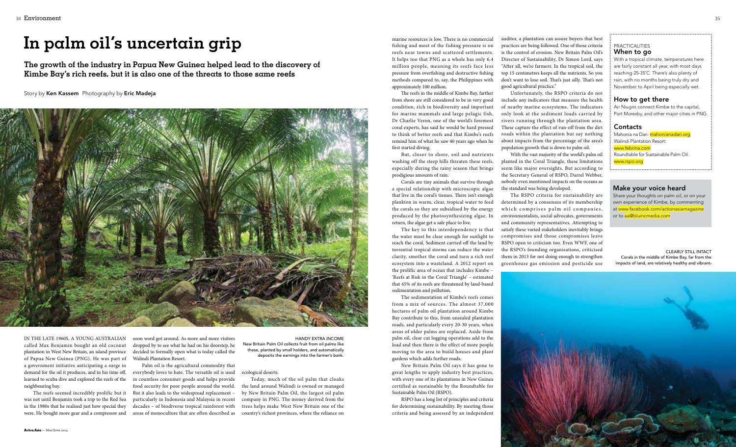

In the late 1960s, a young Australian called Max Benjamin bought an old coconut plantation in West New Britain, an island province of Papua New Guinea (PNG). He was part of a government initiative anticipating a surge in demand for the oil it produces, and in his time off, learned to scuba dive and explored the reefs of the neighbouring bay.

The reefs seemed incredibly prolific but it was not until Benjamin took a trip to the Red Sea in the 1980s that he realised just how special they were. He bought more gear and a compressor and soon word got around. As more and more visitors dropped by to see what he had on his doorstep, he decided to formally open what is today called the Walindi Plantation Resort.

Palm oil is the agricultural commodity that everybody loves to hate. The versatile oil is used in countless consumer goods and helps provide food security for poor people around the world. But it also leads to the widespread replacement – particularly in Indonesia and Malaysia in recent decades – of biodiverse tropical rainforest with areas of monoculture that are often described as

#### ecological deserts.

Today, much of the oil palm that cloaks the land around Walindi is owned or managed by New Britain Palm Oil, the largest oil palm company in PNG. The money derived from the trees helps make West New Britain one of the country's richest provinces, where the reliance on

marine resources is low. There is no commercial fishing and most of the fishing pressure is on reefs near towns and scattered settlements. It helps too that PNG as a whole has only 6.4 million people, meaning its reefs face less pressure from overfishing and destructive fishing methods compared to, say, the Philippines with approximately 100 million.

The reefs in the middle of Kimbe Bay, farther from shore are still considered to be in very good condition, rich in biodiversity and important for marine mammals and large pelagic fish. Dr Charlie Veron, one of the world's foremost coral experts, has said he would be hard pressed to think of better reefs and that Kimbe's reefs remind him of what he saw 40 years ago when he first started diving.

But, closer to shore, soil and nutrients washing off the steep hills threaten these reefs, especially during the rainy season that brings prodigious amounts of rain.

Corals are tiny animals that survive through a special relationship with microscopic algae that live in the coral's tissues. There isn't enough plankton in warm, clear, tropical water to feed the corals so they are subsidised by the energy produced by the photosynthesizing algae. In return, the algae get a safe place to live.

The key to this interdependency is that the water must be clear enough for sunlight to reach the coral. Sediment carried off the land by torrential tropical storms can reduce the water clarity, smother the coral and turn a rich reef ecosystem into a wasteland. A 2012 report on the prolific area of ocean that includes Kimbe – 'Reefs at Risk in the Coral Triangle' – estimated that 45% of its reefs are threatened by land-based sedimentation and pollution.

Share your thoughts on palm oil, or on your own experience of Kimbe, by commenting at www.facebook.com/actionasiamagazine or to aa@bluincmedia.com

Mahonia na Dari: mahonianadari.org Walindi Plantation Resort: www.febrina.com Roundtable for Sustainable Palm Oil: www.rspo.org

The sedimentation of Kimbe's reefs comes from a mix of sources. The almost 37,000 hectares of palm oil plantation around Kimbe Bay contribute to this, from unsealed plantation roads, and particularly every 20-30 years, when areas of older palms are replaced. Aside from palm oil, clear cut logging operations add to the load and then there is the effect of more people moving to the area to build houses and plant gardens which adds further roads.

New Britain Palm Oil says it has gone to great lengths to apply industry best practices, with every one of its plantations in New Guinea certified as sustainable by the Roundtable for Sustainable Palm Oil (RSPO).

RSPO has a long list of principles and criteria for determining sustainability. By meeting those criteria and being assessed by an independent

auditor, a plantation can assure buyers that best practices are being followed. One of those criteria is the control of erosion. New Britain Palm Oil's Director of Sustainability, Dr Simon Lord, says "After all, we're farmers. In the tropical soil, the top 15 centimetres keeps all the nutrients. So you don't want to lose soil. That's just silly. That's not good agricultural practice."

Unfortunately, the RSPO criteria do not include any indicators that measure the health of nearby marine ecosystems. The indicators only look at the sediment loads carried by rivers running through the plantation area. These capture the effect of run-off from the dirt roads within the plantation but say nothing about impacts from the percentage of the area's population growth that is down to palm oil.

With the vast majority of the world's palm oil planted in the Coral Triangle, these limitations seem like major oversights. But according to the Secretary General of RSPO, Darrel Webber, nobody even mentioned impacts on the oceans as the standard was being developed.

The RSPO criteria for sustainability are determined by a consensus of its membership which comprises palm oil companies, environmentalists, social advocates, governments and community representatives. Attempting to satisfy these varied stakeholders inevitably brings compromises and those compromises leave RSPO open to criticism too. Even WWF, one of the RSPO's founding organisations, criticised them in 2013 for not doing enough to strengthen greenhouse gas emission and pesticide use

#### **PRACTICALITIES** When to go

**The growth of the industry in Papua New Guinea helped lead to the discovery of Kimbe Bay's rich reefs, but it is also one of the threats to those same reefs**

35 Superintent to the contract of the contract of the contract of the contract of the contract of the contract of the contract of the contract of the contract of the contract of the contract of the contract of the contract 34 Environment

## **In palm oil's uncertain grip**

#### Story by Ken Kassem Photography by Eric Madeja



handy extra income New Britain Palm Oil collects fruit from oil palms like these, planted by small holders, and automatically deposits the earnings into the farmer's bank.

clearly still intact Corals in the middle of Kimbe Bay, far from the impacts of land, are relatively healthy and vibrant.

#### Make your voice heard

With a tropical climate, temperatures here are fairly constant all year, with most days reaching 25-35˚C. There's also plenty of rain, with no months being truly dry and November to April being especially wet.

#### How to get there

Air Niugini connect Kimbe to the capital, Port Moresby, and other major cities in PNG.

#### **Contacts**